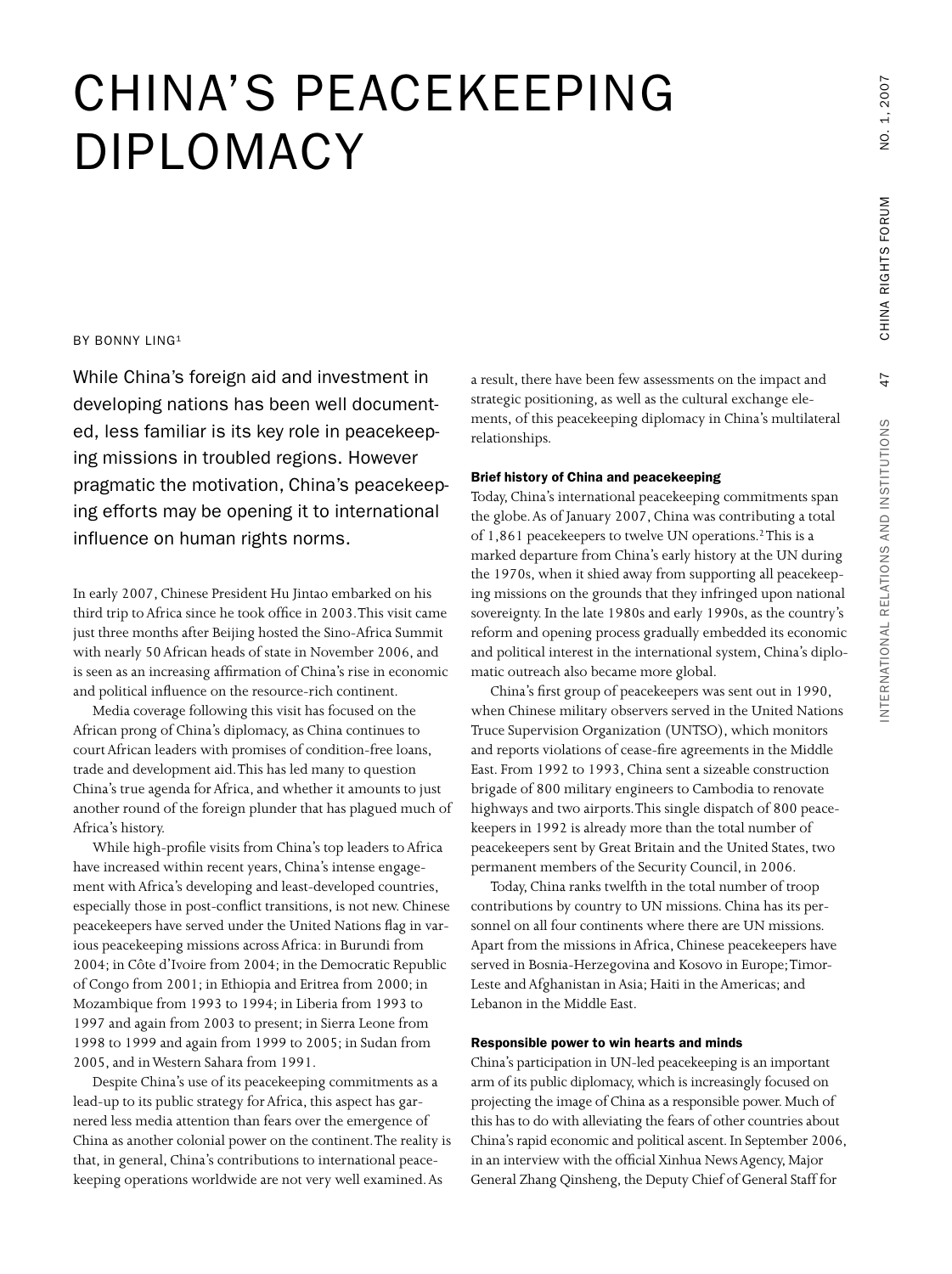# CHINA'S PEACEKEEPING DIPLOMACY

#### BY BONNY LING1

While China's foreign aid and investment in a result, there have been few assessments on the impact and  $\qquad \qquad$ developing nations has been well documented, less familiar is its key role in peacekeeping missions in troubled regions. However pragmatic the motivation, China's peacekeeping efforts may be opening it to international influence on human rights norms.

In early 2007, Chinese President Hu Jintao embarked on his third trip toAfrica since he took office in 2003.This visit came just three months after Beijing hosted the Sino-Africa Summit with nearly 50 African heads of state in November 2006, and is seen as an increasing affirmation of China's rise in economic and political influence on the resource-rich continent.

Media coverage following this visit has focused on the African prong of China's diplomacy, as China continues to courtAfrican leaders with promises of condition-free loans, trade and development aid.This has led many to question China's true agenda forAfrica, and whether it amounts to just another round of the foreign plunder that has plagued much of Africa's history.

While high-profile visits from China's top leaders to Africa have increased within recent years, China's intense engagement with Africa's developing and least-developed countries, especially those in post-conflict transitions, is not new. Chinese peacekeepers have served under the United Nations flag in various peacekeeping missions across Africa: in Burundi from 2004; in Côte d'Ivoire from 2004; in the Democratic Republic of Congo from 2001; in Ethiopia and Eritrea from 2000; in Mozambique from 1993 to 1994; in Liberia from 1993 to 1997 and again from 2003 to present; in Sierra Leone from 1998 to 1999 and again from 1999 to 2005; in Sudan from 2005, and inWestern Sahara from 1991.

Despite China's use of its peacekeeping commitments as a lead-up to its public strategy for Africa, this aspect has garnered less media attention than fears over the emergence of China as another colonial power on the continent.The reality is that, in general, China's contributions to international peacekeeping operations worldwide are not very well examined.As

a result, there have been few assessments on the impact and strategic positioning, as well as the cultural exchange elements, of this peacekeeping diplomacy in China's multilateral relationships.

## **Brief history of China and peacekeeping**

Today, China's international peacekeeping commitments span the globe.As of January 2007, China was contributing a total of 1,861 peacekeepers to twelve UN operations.2This is a marked departure from China's early history at the UN during the 1970s, when it shied away from supporting all peacekeeping missions on the grounds that they infringed upon national sovereignty. In the late 1980s and early 1990s, as the country's reform and opening process gradually embedded its economic and political interest in the international system, China's diplomatic outreach also became more global.

China's first group of peacekeepers was sent out in 1990, when Chinese military observers served in the United Nations Truce Supervision Organization (UNTSO), which monitors and reports violations of cease-fire agreements in the Middle East. From 1992 to 1993, China sent a sizeable construction brigade of 800 military engineers to Cambodia to renovate highways and two airports.This single dispatch of 800 peacekeepers in 1992 is already more than the total number of peacekeepers sent by Great Britain and the United States, two permanent members of the Security Council, in 2006.

Today, China ranks twelfth in the total number of troop contributions by country to UN missions. China has its personnel on all four continents where there are UN missions. Apart from the missions in Africa, Chinese peacekeepers have served in Bosnia-Herzegovina and Kosovo in Europe;Timor-Leste and Afghanistan in Asia; Haiti in the Americas; and Lebanon in the Middle East.

#### **Responsible power to win hearts and minds**

China's participation in UN-led peacekeeping is an important arm of its public diplomacy, which is increasingly focused on projecting the image of China as a responsible power. Much of this has to do with alleviating the fears of other countries about China's rapid economic and political ascent. In September 2006, in an interview with the official Xinhua NewsAgency, Major General Zhang Qinsheng, the Deputy Chief of General Staff for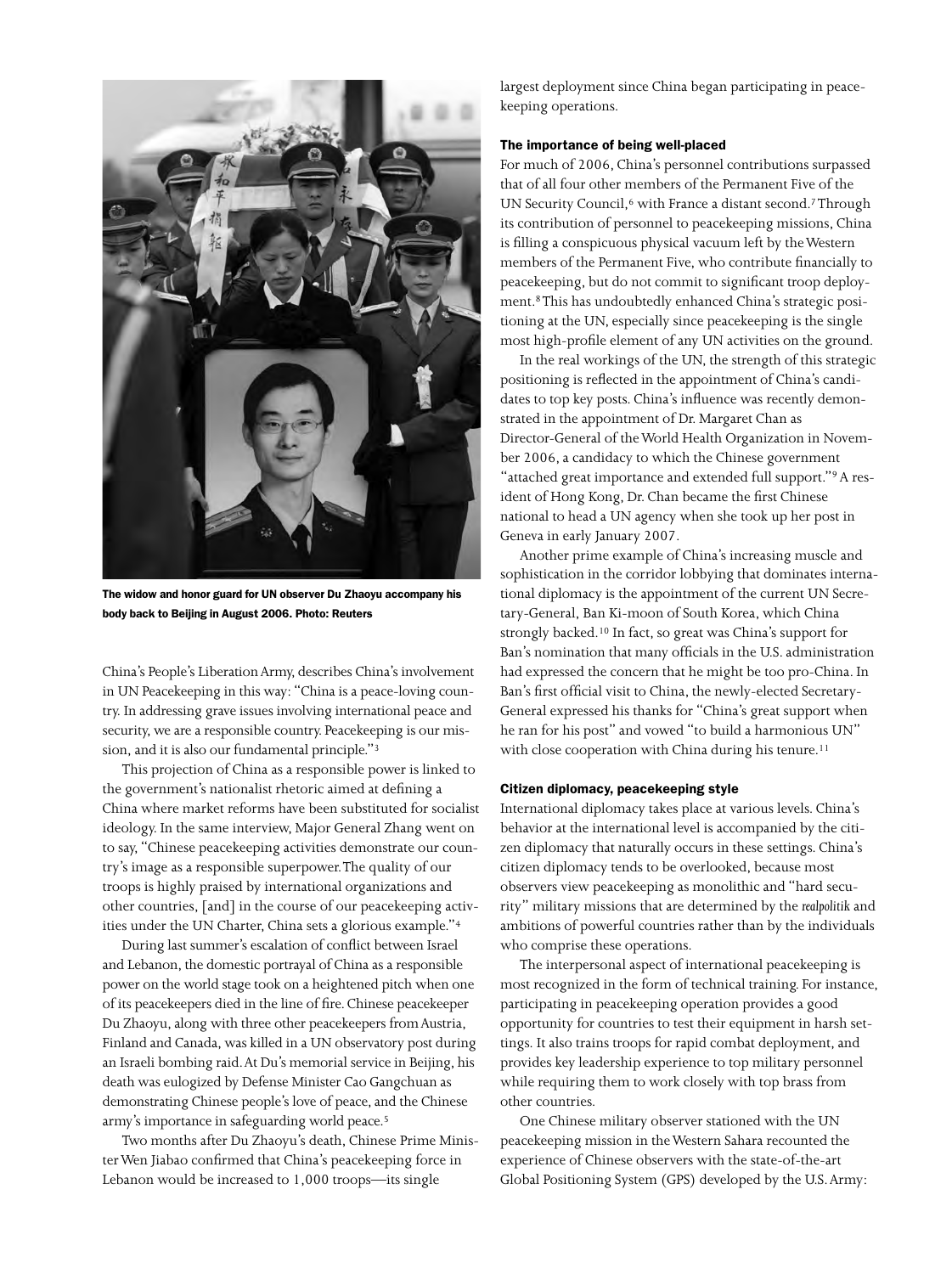

**The widow and honor guard for UN observer Du Zhaoyu accompany his body back to Beijing in August 2006. Photo: Reuters**

China's People's LiberationArmy, describes China's involvement in UN Peacekeeping in this way: "China is a peace-loving country. In addressing grave issues involving international peace and security, we are a responsible country. Peacekeeping is our mission, and it is also our fundamental principle."3

This projection of China as a responsible power is linked to the government's nationalist rhetoric aimed at defining a China where market reforms have been substituted for socialist ideology. In the same interview, Major General Zhang went on to say, "Chinese peacekeeping activities demonstrate our country's image as a responsible superpower.The quality of our troops is highly praised by international organizations and other countries,[and] in the course of our peacekeeping activities under the UN Charter, China sets a glorious example."4

During last summer's escalation of conflict between Israel and Lebanon, the domestic portrayal of China as a responsible power on the world stage took on a heightened pitch when one of its peacekeepers died in the line of fire. Chinese peacekeeper Du Zhaoyu, along with three other peacekeepers fromAustria, Finland and Canada, was killed in a UN observatory post during an Israeli bombing raid.At Du's memorial service in Beijing, his death was eulogized by Defense Minister Cao Gangchuan as demonstrating Chinese people's love of peace, and the Chinese army's importance in safeguarding world peace.5

Two months after Du Zhaoyu's death, Chinese Prime MinisterWen Jiabao confirmed that China's peacekeeping force in Lebanon would be increased to 1,000 troops—its single

largest deployment since China began participating in peacekeeping operations.

#### **The importance of being well-placed**

For much of 2006, China's personnel contributions surpassed that of all four other members of the Permanent Five of the UN Security Council,<sup>6</sup> with France a distant second.<sup>7</sup>Through its contribution of personnel to peacekeeping missions, China is filling a conspicuous physical vacuum left by theWestern members of the Permanent Five, who contribute financially to peacekeeping, but do not commit to significant troop deployment.8This has undoubtedly enhanced China's strategic positioning at the UN, especially since peacekeeping is the single most high-profile element of any UN activities on the ground.

In the real workings of the UN, the strength of this strategic positioning is reflected in the appointment of China's candidates to top key posts. China's influence was recently demonstrated in the appointment of Dr. Margaret Chan as Director-General of theWorld Health Organization in November 2006, a candidacy to which the Chinese government "attached great importance and extended full support."<sup>9</sup> A resident of Hong Kong, Dr. Chan became the first Chinese national to head a UN agency when she took up her post in Geneva in early January 2007.

Another prime example of China's increasing muscle and sophistication in the corridor lobbying that dominates international diplomacy is the appointment of the current UN Secretary-General, Ban Ki-moon of South Korea, which China strongly backed.10 In fact, so great was China's support for Ban's nomination that many officials in the U.S. administration had expressed the concern that he might be too pro-China. In Ban's first official visit to China, the newly-elected Secretary-General expressed his thanks for "China's great support when he ran for his post" and vowed "to build a harmonious UN" with close cooperation with China during his tenure.<sup>11</sup>

#### **Citizen diplomacy, peacekeeping style**

International diplomacy takes place at various levels. China's behavior at the international level is accompanied by the citizen diplomacy that naturally occurs in these settings. China's citizen diplomacy tends to be overlooked, because most observers view peacekeeping as monolithic and "hard security" military missions that are determined by the *realpolitik* and ambitions of powerful countries rather than by the individuals who comprise these operations.

The interpersonal aspect of international peacekeeping is most recognized in the form of technical training. For instance, participating in peacekeeping operation provides a good opportunity for countries to test their equipment in harsh settings. It also trains troops for rapid combat deployment, and provides key leadership experience to top military personnel while requiring them to work closely with top brass from other countries.

One Chinese military observer stationed with the UN peacekeeping mission in theWestern Sahara recounted the experience of Chinese observers with the state-of-the-art Global Positioning System (GPS) developed by the U.S.Army: